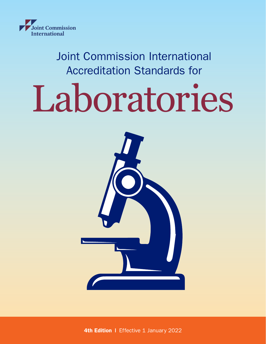

Joint Commission International Accreditation Standards for

## Laboratories



4th Edition | Effective 1 January 2022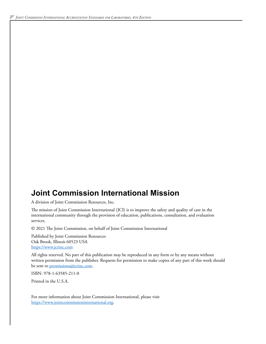## **Joint Commission International Mission**

A division of Joint Commission Resources, Inc.

The mission of Joint Commission International (JCI) is to improve the safety and quality of care in the international community through the provision of education, publications, consultation, and evaluation services.

© 2021 The Joint Commission, on behalf of Joint Commission International

Published by Joint Commission Resources Oak Brook, Illinois 60523 USA <https://www.jcrinc.com>

All rights reserved. No part of this publication may be reproduced in any form or by any means without written permission from the publisher. Requests for permission to make copies of any part of this work should be sent to [permissions@jcrinc.com](mailto:permissions@jcrinc.com).

ISBN: 978-1-63585-211-0

Printed in the U.S.A.

For more information about Joint Commission International, please visit [https://www.jointcommissioninternational.org.](https://www.jointcommissioninternational.org)